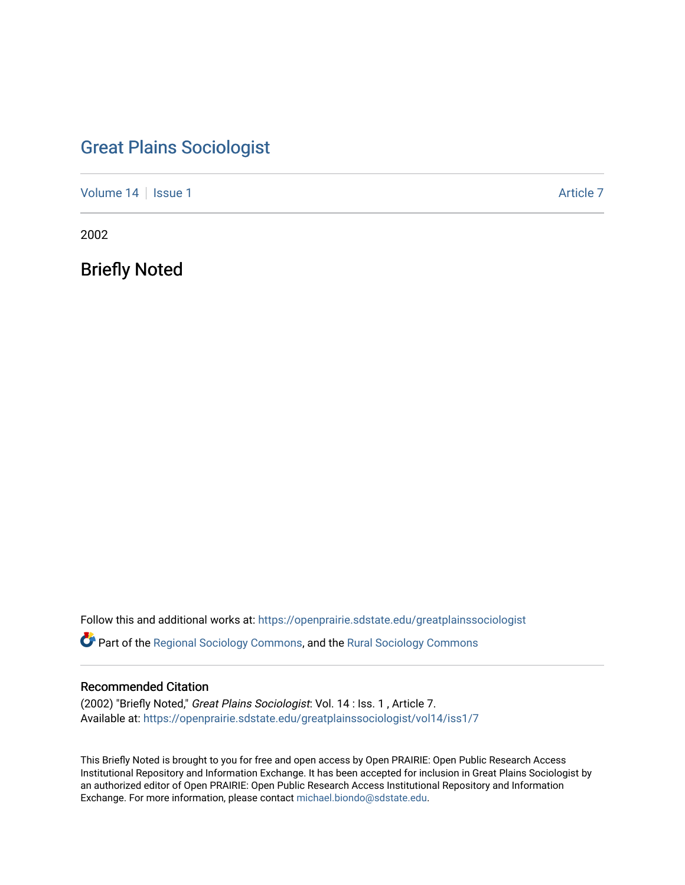# [Great Plains Sociologist](https://openprairie.sdstate.edu/greatplainssociologist)

[Volume 14](https://openprairie.sdstate.edu/greatplainssociologist/vol14) | [Issue 1](https://openprairie.sdstate.edu/greatplainssociologist/vol14/iss1) Article 7

2002

Briefly Noted

Follow this and additional works at: [https://openprairie.sdstate.edu/greatplainssociologist](https://openprairie.sdstate.edu/greatplainssociologist?utm_source=openprairie.sdstate.edu%2Fgreatplainssociologist%2Fvol14%2Fiss1%2F7&utm_medium=PDF&utm_campaign=PDFCoverPages) 

Part of the [Regional Sociology Commons](http://network.bepress.com/hgg/discipline/427?utm_source=openprairie.sdstate.edu%2Fgreatplainssociologist%2Fvol14%2Fiss1%2F7&utm_medium=PDF&utm_campaign=PDFCoverPages), and the [Rural Sociology Commons](http://network.bepress.com/hgg/discipline/428?utm_source=openprairie.sdstate.edu%2Fgreatplainssociologist%2Fvol14%2Fiss1%2F7&utm_medium=PDF&utm_campaign=PDFCoverPages) 

#### Recommended Citation

(2002) "Briefly Noted," Great Plains Sociologist: Vol. 14 : Iss. 1 , Article 7. Available at: [https://openprairie.sdstate.edu/greatplainssociologist/vol14/iss1/7](https://openprairie.sdstate.edu/greatplainssociologist/vol14/iss1/7?utm_source=openprairie.sdstate.edu%2Fgreatplainssociologist%2Fvol14%2Fiss1%2F7&utm_medium=PDF&utm_campaign=PDFCoverPages)

This Briefly Noted is brought to you for free and open access by Open PRAIRIE: Open Public Research Access Institutional Repository and Information Exchange. It has been accepted for inclusion in Great Plains Sociologist by an authorized editor of Open PRAIRIE: Open Public Research Access Institutional Repository and Information Exchange. For more information, please contact [michael.biondo@sdstate.edu.](mailto:michael.biondo@sdstate.edu)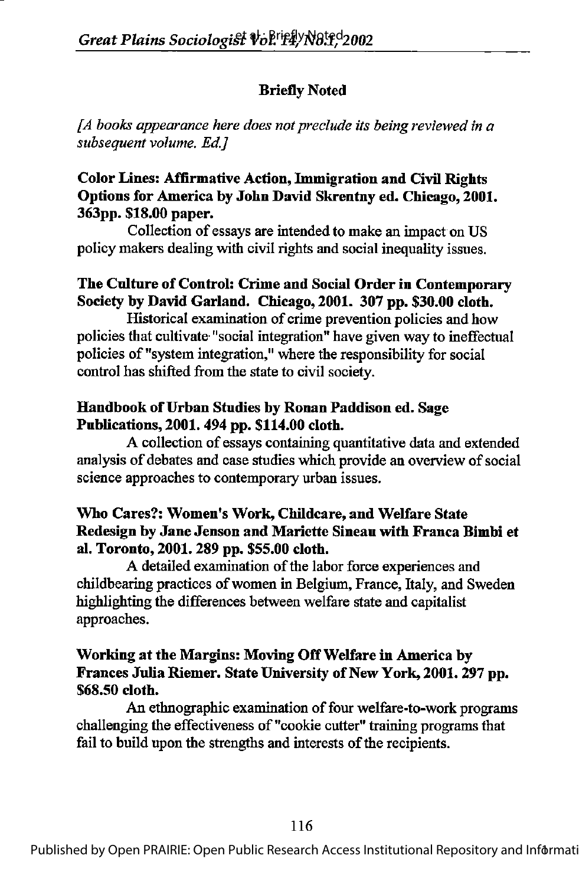## Briefly Noted

 $[A$  books appearance here does not preclude its being reviewed in a subsequent volume. Ed.]

## Color Lines: Afflrmative Action, Immigration and Civil Rights Options for America by John David Skrentny ed. Chicago, 2001. 363pp. \$18.00 paper.

Collection of essays are intended to make an impact on US policy makers dealing with civil rights and social inequality issues.

## The Culture of Control: Crime and Social Order in Contemporary Society by David Garland. Chicago, 2001. 307 pp. \$30.00 cloth.

Historical examination of crime prevention policies and how policies that cultivate "social integration" have given way to ineffectual policies of "system integration," where the responsibility for social control has shifted from the state to civil society.

#### Handbook of Urban Studies by Ronan Paddison ed. Sage Publications, 2001. 494 pp. \$114.00 cloth.

A collection of essays containing quantitative data and extended analysis of debates and case studies which provide an overview of social science approaches to contemporary urban issues.

#### Who Cares?: Women's Work, Childcare, and Welfare State Redesign by Jane Jenson and Mariette Sineau with Franca Bimbi et al, Toronto, 2001.289 pp. \$55.00 cloth.

A detailed examination of the labor force experiences and childbearing practices of women in Belgium, France, Italy, and Sweden highlighting the differences between welfare state and capitalist approaches.

#### Working at the Margins: Moving OffWelfare in America by Frances Julia Riemer. State University of New York, 2001. 297 pp. \$68.50 cloth.

An ethnographic examination of four welfare-to-work programs challenging the effectiveness of "cookie cutter" training programs that fail to build upon the strengths and interests of the recipients.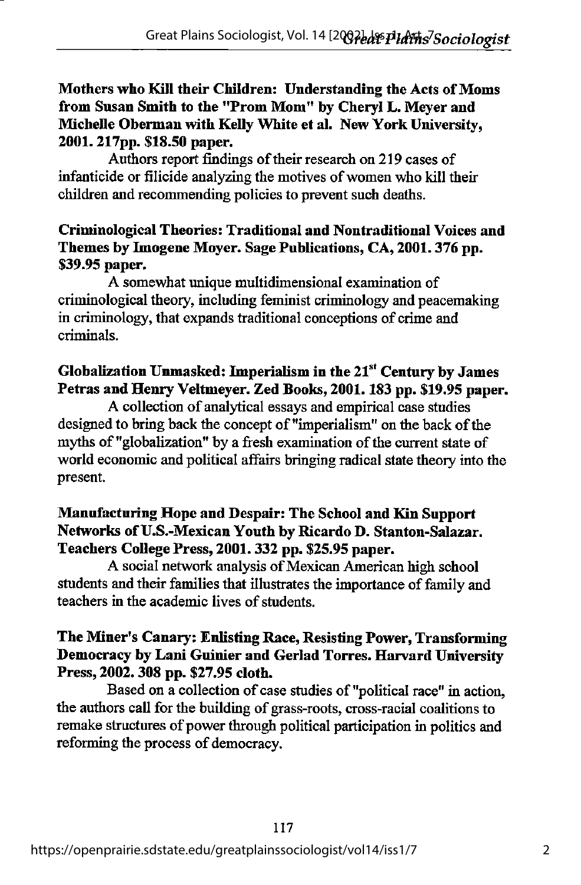Mothers who Kill their Children: Understanding the Acts of Moms from Susan Smith to the "Prom Mom" by Cheryl L. Meyer and Michelle Oberman with Kelly White et al. New York University, 2001.217pp. \$18.50 paper.

Authors report findings of their research on 219 cases of infanticide or filicide analyzing the motives of women who kill their children and recommending policies to prevent such deaths.

#### Criminological Theories: Traditional and Nontraditional Voices and Themes by Imogene Moyer. Sage Publications, CA, 2001.376 pp. \$39.95 paper.

A somewhat unique multidimensional examination of criminological theory, including feminist criminology and peacemaking in criminology, that expands traditional conceptions of crime and criminals.

## Globalization Unmasked: Imperialism in the  $21<sup>st</sup>$  Century by James Petras and Henry Veltmeyer. Zed Books, 2001. 183 pp. \$19.95 paper.

A collection of analytical essays and empirical case studies designed to bring back the concept of "imperialism" on the back of the myths of "globalization" by a fresh examination of the current state of world economic and political affairs bringing radical state theory into the present.

#### Manufacturing Hope and Despair: The School and Kin Support Networks of U.S.-Mexican Youth by Ricardo D. Stanton-Salazar. Teachers College Press, 2001.332 pp. \$25.95 paper.

A social network analysis of Mexican American high school students and their families that illustrates the importance of family and teachers in the academic lives of students.

## The Miner's Canary: Enlisting Race, Resisting Power, Transforming Democracy by Lani Guinier and Gerlad Torres. Harvard University Press, 2002.308 pp. \$27.95 cloth.

Based on a collection of case studies of "political race" in action, the authors call for the building of grass-roots, cross-racial coalitions to remake structures of power through political participation in politics and reforming the process of democracy.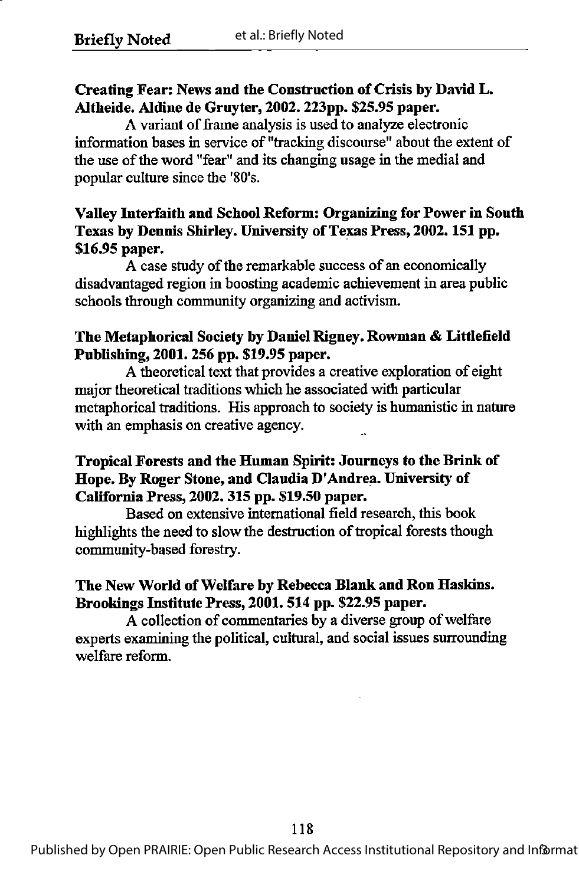## Creating Fear: News and the Construction of Crisis by David L. Altheide. Aldine de Gruyter, 2002. 223pp. \$25.95 paper.

A variant of frame analysis is used to analyze electronic information bases in service of "tracking discourse" about die extent of the use of the word "fear" and its changing usage in the medial and popular culture since the '80's.

## Valley Interfaith and School Reform: Organizing for Power in South Texas by Dennis Shirley. University of Texas Press, 2002. 151 pp. \$16.95 paper.

A case study of the remarkable success of an economically disadvantaged region in boosting academic achievement in area public schools through community organizing and activism.

#### The Metaphorical Society by Daniel Rigney. Rowman & Littlefield Publishing, 2001.256 pp. \$19.95 paper.

A theoretical text that provides a creative exploration of eight major theoretical traditions which he associated with particular metaphorical traditions. His approach to society is humanistic in nature with an emphasis on creative agency.

### Tropical Forests and the Human Spirit: Journeys to the Brink of Hope. By Roger Stone, and Claudia D'Andrea. University of California Press, 2002.315 pp. \$19.50 paper.

Based on extensive international field research, this book highlights the need to slow the destruction of tropical forests though community-based forestry.

## The New World of Welfare by Rebecca Blank and Ron Haskins. Brookings Institute Press, 2001.514 pp. \$22.95 paper.

A collection of commentaries by a diverse group of welfare experts examining the political, cultural, and social issues surrounding welfare reform.